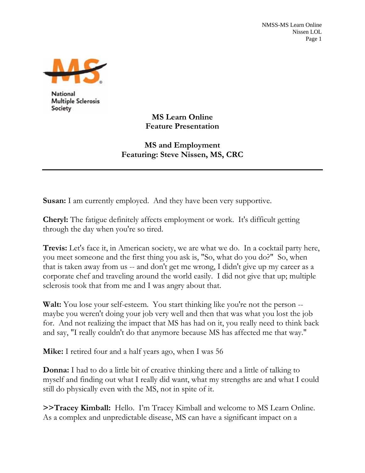

**Multiple Sclerosis** Society

**MS Learn Online Feature Presentation** 

**MS and Employment Featuring: Steve Nissen, MS, CRC** 

**Susan:** I am currently employed. And they have been very supportive.

**Cheryl:** The fatigue definitely affects employment or work. It's difficult getting through the day when you're so tired.

**Trevis:** Let's face it, in American society, we are what we do. In a cocktail party here, you meet someone and the first thing you ask is, "So, what do you do?" So, when that is taken away from us -- and don't get me wrong, I didn't give up my career as a corporate chef and traveling around the world easily. I did not give that up; multiple sclerosis took that from me and I was angry about that.

**Walt:** You lose your self-esteem. You start thinking like you're not the person -maybe you weren't doing your job very well and then that was what you lost the job for. And not realizing the impact that MS has had on it, you really need to think back and say, "I really couldn't do that anymore because MS has affected me that way."

**Mike:** I retired four and a half years ago, when I was 56

**Donna:** I had to do a little bit of creative thinking there and a little of talking to myself and finding out what I really did want, what my strengths are and what I could still do physically even with the MS, not in spite of it.

**>>Tracey Kimball:** Hello. I'm Tracey Kimball and welcome to MS Learn Online. As a complex and unpredictable disease, MS can have a significant impact on a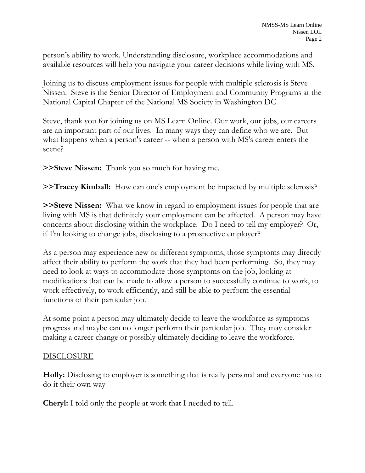person's ability to work. Understanding disclosure, workplace accommodations and available resources will help you navigate your career decisions while living with MS.

Joining us to discuss employment issues for people with multiple sclerosis is Steve Nissen. Steve is the Senior Director of Employment and Community Programs at the National Capital Chapter of the National MS Society in Washington DC.

Steve, thank you for joining us on MS Learn Online. Our work, our jobs, our careers are an important part of our lives. In many ways they can define who we are. But what happens when a person's career -- when a person with MS's career enters the scene?

**>>Steve Nissen:** Thank you so much for having me.

**>>Tracey Kimball:** How can one's employment be impacted by multiple sclerosis?

**>>Steve Nissen:** What we know in regard to employment issues for people that are living with MS is that definitely your employment can be affected. A person may have concerns about disclosing within the workplace. Do I need to tell my employer? Or, if I'm looking to change jobs, disclosing to a prospective employer?

As a person may experience new or different symptoms, those symptoms may directly affect their ability to perform the work that they had been performing. So, they may need to look at ways to accommodate those symptoms on the job, looking at modifications that can be made to allow a person to successfully continue to work, to work effectively, to work efficiently, and still be able to perform the essential functions of their particular job.

At some point a person may ultimately decide to leave the workforce as symptoms progress and maybe can no longer perform their particular job. They may consider making a career change or possibly ultimately deciding to leave the workforce.

## **DISCLOSURE**

**Holly:** Disclosing to employer is something that is really personal and everyone has to do it their own way

**Cheryl:** I told only the people at work that I needed to tell.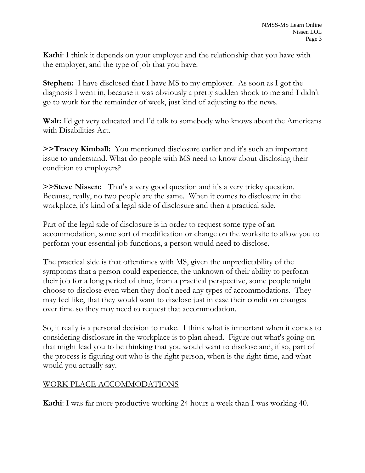**Kathi**: I think it depends on your employer and the relationship that you have with the employer, and the type of job that you have.

**Stephen:** I have disclosed that I have MS to my employer. As soon as I got the diagnosis I went in, because it was obviously a pretty sudden shock to me and I didn't go to work for the remainder of week, just kind of adjusting to the news.

**Walt:** I'd get very educated and I'd talk to somebody who knows about the Americans with Disabilities Act.

**>>Tracey Kimball:** You mentioned disclosure earlier and it's such an important issue to understand. What do people with MS need to know about disclosing their condition to employers?

**>>Steve Nissen:** That's a very good question and it's a very tricky question. Because, really, no two people are the same. When it comes to disclosure in the workplace, it's kind of a legal side of disclosure and then a practical side.

Part of the legal side of disclosure is in order to request some type of an accommodation, some sort of modification or change on the worksite to allow you to perform your essential job functions, a person would need to disclose.

The practical side is that oftentimes with MS, given the unpredictability of the symptoms that a person could experience, the unknown of their ability to perform their job for a long period of time, from a practical perspective, some people might choose to disclose even when they don't need any types of accommodations. They may feel like, that they would want to disclose just in case their condition changes over time so they may need to request that accommodation.

So, it really is a personal decision to make. I think what is important when it comes to considering disclosure in the workplace is to plan ahead. Figure out what's going on that might lead you to be thinking that you would want to disclose and, if so, part of the process is figuring out who is the right person, when is the right time, and what would you actually say.

## WORK PLACE ACCOMMODATIONS

**Kathi**: I was far more productive working 24 hours a week than I was working 40.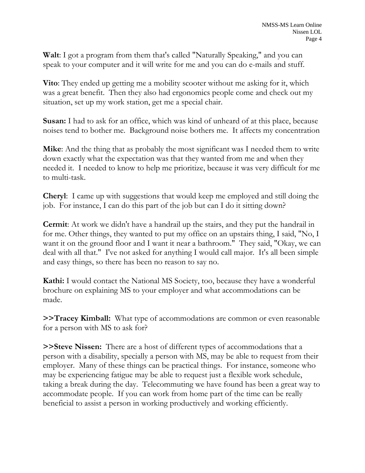**Walt**: I got a program from them that's called "Naturally Speaking," and you can speak to your computer and it will write for me and you can do e-mails and stuff.

**Vito**: They ended up getting me a mobility scooter without me asking for it, which was a great benefit. Then they also had ergonomics people come and check out my situation, set up my work station, get me a special chair.

**Susan:** I had to ask for an office, which was kind of unheard of at this place, because noises tend to bother me. Background noise bothers me. It affects my concentration

**Mike**: And the thing that as probably the most significant was I needed them to write down exactly what the expectation was that they wanted from me and when they needed it. I needed to know to help me prioritize, because it was very difficult for me to multi-task.

**Cheryl**: I came up with suggestions that would keep me employed and still doing the job. For instance, I can do this part of the job but can I do it sitting down?

**Cermit**: At work we didn't have a handrail up the stairs, and they put the handrail in for me. Other things, they wanted to put my office on an upstairs thing, I said, "No, I want it on the ground floor and I want it near a bathroom." They said, "Okay, we can deal with all that." I've not asked for anything I would call major. It's all been simple and easy things, so there has been no reason to say no.

**Kathi:** I would contact the National MS Society, too, because they have a wonderful brochure on explaining MS to your employer and what accommodations can be made.

**>>Tracey Kimball:** What type of accommodations are common or even reasonable for a person with MS to ask for?

**>>Steve Nissen:** There are a host of different types of accommodations that a person with a disability, specially a person with MS, may be able to request from their employer. Many of these things can be practical things. For instance, someone who may be experiencing fatigue may be able to request just a flexible work schedule, taking a break during the day. Telecommuting we have found has been a great way to accommodate people. If you can work from home part of the time can be really beneficial to assist a person in working productively and working efficiently.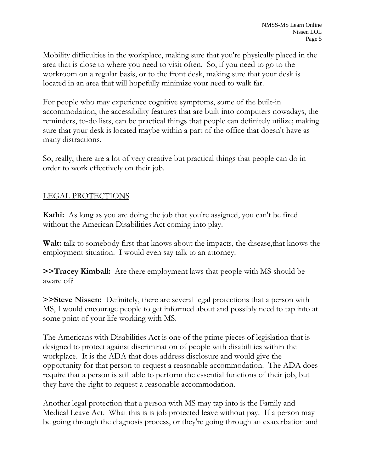Mobility difficulties in the workplace, making sure that you're physically placed in the area that is close to where you need to visit often. So, if you need to go to the workroom on a regular basis, or to the front desk, making sure that your desk is located in an area that will hopefully minimize your need to walk far.

For people who may experience cognitive symptoms, some of the built-in accommodation, the accessibility features that are built into computers nowadays, the reminders, to-do lists, can be practical things that people can definitely utilize; making sure that your desk is located maybe within a part of the office that doesn't have as many distractions.

So, really, there are a lot of very creative but practical things that people can do in order to work effectively on their job.

## LEGAL PROTECTIONS

**Kathi:** As long as you are doing the job that you're assigned, you can't be fired without the American Disabilities Act coming into play.

**Walt:** talk to somebody first that knows about the impacts, the disease,that knows the employment situation. I would even say talk to an attorney.

**>>Tracey Kimball:** Are there employment laws that people with MS should be aware of?

**>>Steve Nissen:** Definitely, there are several legal protections that a person with MS, I would encourage people to get informed about and possibly need to tap into at some point of your life working with MS.

The Americans with Disabilities Act is one of the prime pieces of legislation that is designed to protect against discrimination of people with disabilities within the workplace. It is the ADA that does address disclosure and would give the opportunity for that person to request a reasonable accommodation. The ADA does require that a person is still able to perform the essential functions of their job, but they have the right to request a reasonable accommodation.

Another legal protection that a person with MS may tap into is the Family and Medical Leave Act. What this is is job protected leave without pay. If a person may be going through the diagnosis process, or they're going through an exacerbation and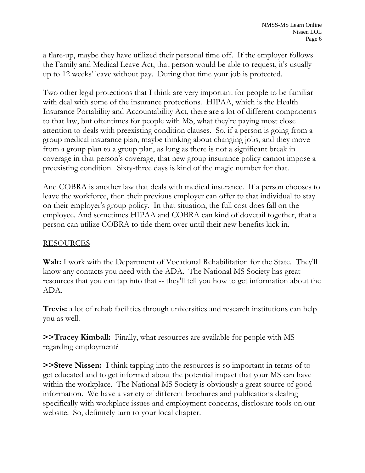a flare-up, maybe they have utilized their personal time off. If the employer follows the Family and Medical Leave Act, that person would be able to request, it's usually up to 12 weeks' leave without pay. During that time your job is protected.

Two other legal protections that I think are very important for people to be familiar with deal with some of the insurance protections. HIPAA, which is the Health Insurance Portability and Accountability Act, there are a lot of different components to that law, but oftentimes for people with MS, what they're paying most close attention to deals with preexisting condition clauses. So, if a person is going from a group medical insurance plan, maybe thinking about changing jobs, and they move from a group plan to a group plan, as long as there is not a significant break in coverage in that person's coverage, that new group insurance policy cannot impose a preexisting condition. Sixty-three days is kind of the magic number for that.

And COBRA is another law that deals with medical insurance. If a person chooses to leave the workforce, then their previous employer can offer to that individual to stay on their employer's group policy. In that situation, the full cost does fall on the employee. And sometimes HIPAA and COBRA can kind of dovetail together, that a person can utilize COBRA to tide them over until their new benefits kick in.

## RESOURCES

**Walt:** I work with the Department of Vocational Rehabilitation for the State. They'll know any contacts you need with the ADA. The National MS Society has great resources that you can tap into that -- they'll tell you how to get information about the ADA.

**Trevis:** a lot of rehab facilities through universities and research institutions can help you as well.

**>>Tracey Kimball:** Finally, what resources are available for people with MS regarding employment?

**>>Steve Nissen:** I think tapping into the resources is so important in terms of to get educated and to get informed about the potential impact that your MS can have within the workplace. The National MS Society is obviously a great source of good information. We have a variety of different brochures and publications dealing specifically with workplace issues and employment concerns, disclosure tools on our website. So, definitely turn to your local chapter.